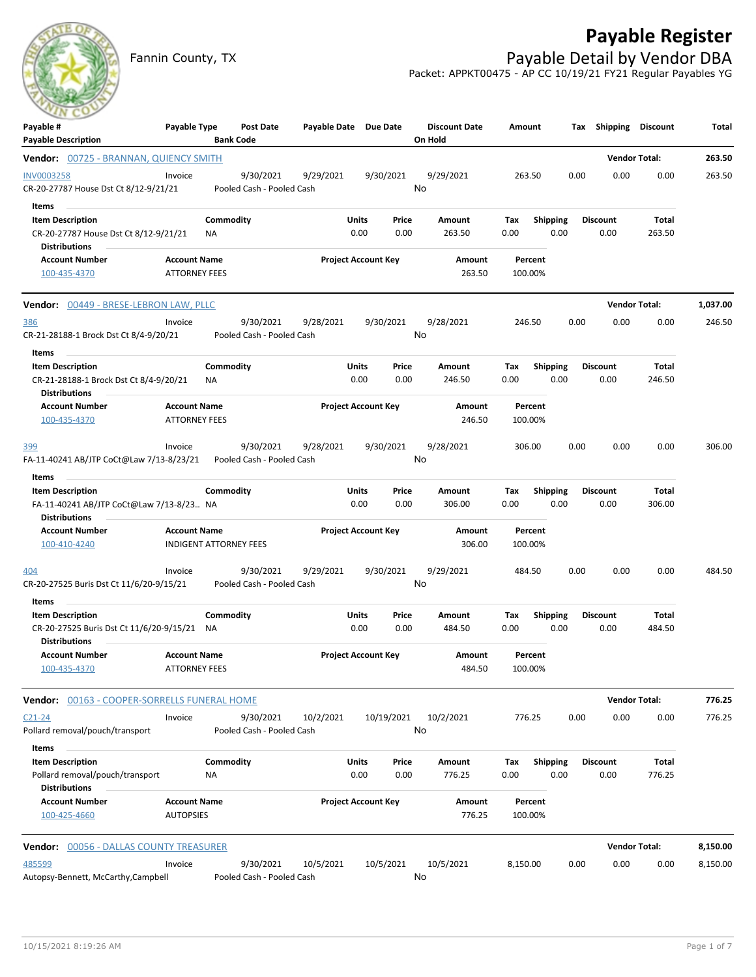## **Payable Register**

Fannin County, TX **Payable Detail by Vendor DBA** Packet: APPKT00475 - AP CC 10/19/21 FY21 Regular Payables YG

| $\sim$<br>Payable #<br><b>Payable Description</b>                                                 | Payable Type                                         |                 | <b>Post Date</b><br><b>Bank Code</b>   | Payable Date Due Date |                            |               | <b>Discount Date</b><br>On Hold | Amount      |                         |      | Tax Shipping Discount   |                        | Total    |
|---------------------------------------------------------------------------------------------------|------------------------------------------------------|-----------------|----------------------------------------|-----------------------|----------------------------|---------------|---------------------------------|-------------|-------------------------|------|-------------------------|------------------------|----------|
| Vendor: 00725 - BRANNAN, QUIENCY SMITH                                                            |                                                      |                 |                                        |                       |                            |               |                                 |             |                         |      |                         | <b>Vendor Total:</b>   | 263.50   |
| <b>INV0003258</b><br>CR-20-27787 House Dst Ct 8/12-9/21/21                                        | Invoice                                              |                 | 9/30/2021<br>Pooled Cash - Pooled Cash | 9/29/2021             |                            | 9/30/2021     | 9/29/2021<br>No                 |             | 263.50                  | 0.00 | 0.00                    | 0.00                   | 263.50   |
| Items<br><b>Item Description</b><br>CR-20-27787 House Dst Ct 8/12-9/21/21<br><b>Distributions</b> |                                                      | Commodity<br>ΝA |                                        |                       | Units<br>0.00              | Price<br>0.00 | Amount<br>263.50                | Tax<br>0.00 | <b>Shipping</b><br>0.00 |      | <b>Discount</b><br>0.00 | Total<br>263.50        |          |
| <b>Account Number</b><br>100-435-4370                                                             | <b>Account Name</b><br><b>ATTORNEY FEES</b>          |                 |                                        |                       | <b>Project Account Key</b> |               | Amount<br>263.50                |             | Percent<br>100.00%      |      |                         |                        |          |
| Vendor: 00449 - BRESE-LEBRON LAW, PLLC                                                            |                                                      |                 |                                        |                       |                            |               |                                 |             |                         |      |                         | <b>Vendor Total:</b>   | 1,037.00 |
| 386<br>CR-21-28188-1 Brock Dst Ct 8/4-9/20/21                                                     | Invoice                                              |                 | 9/30/2021<br>Pooled Cash - Pooled Cash | 9/28/2021             |                            | 9/30/2021     | 9/28/2021<br>No                 |             | 246.50                  | 0.00 | 0.00                    | 0.00                   | 246.50   |
| Items<br><b>Item Description</b>                                                                  |                                                      | Commodity       |                                        |                       | Units                      | Price         | Amount                          | Tax         | <b>Shipping</b>         |      | <b>Discount</b>         | Total                  |          |
| CR-21-28188-1 Brock Dst Ct 8/4-9/20/21<br><b>Distributions</b>                                    |                                                      | ΝA              |                                        |                       | 0.00                       | 0.00          | 246.50                          | 0.00        | 0.00                    |      | 0.00                    | 246.50                 |          |
| <b>Account Number</b><br>100-435-4370                                                             | <b>Account Name</b><br><b>ATTORNEY FEES</b>          |                 |                                        |                       | <b>Project Account Key</b> |               | Amount<br>246.50                |             | Percent<br>100.00%      |      |                         |                        |          |
| 399<br>FA-11-40241 AB/JTP CoCt@Law 7/13-8/23/21                                                   | Invoice                                              |                 | 9/30/2021<br>Pooled Cash - Pooled Cash | 9/28/2021             |                            | 9/30/2021     | 9/28/2021<br>No                 |             | 306.00                  | 0.00 | 0.00                    | 0.00                   | 306.00   |
| Items                                                                                             |                                                      |                 |                                        |                       |                            |               |                                 |             |                         |      |                         |                        |          |
| <b>Item Description</b><br>FA-11-40241 AB/JTP CoCt@Law 7/13-8/23 NA<br><b>Distributions</b>       |                                                      | Commodity       |                                        |                       | Units<br>0.00              | Price<br>0.00 | Amount<br>306.00                | Tax<br>0.00 | Shipping<br>0.00        |      | <b>Discount</b><br>0.00 | <b>Total</b><br>306.00 |          |
| <b>Account Number</b><br>100-410-4240                                                             | <b>Account Name</b><br><b>INDIGENT ATTORNEY FEES</b> |                 |                                        |                       | <b>Project Account Key</b> |               | Amount<br>306.00                |             | Percent<br>100.00%      |      |                         |                        |          |
| 404                                                                                               | Invoice                                              |                 | 9/30/2021                              | 9/29/2021             |                            | 9/30/2021     | 9/29/2021                       |             | 484.50                  | 0.00 | 0.00                    | 0.00                   | 484.50   |
| CR-20-27525 Buris Dst Ct 11/6/20-9/15/21<br>Items                                                 |                                                      |                 | Pooled Cash - Pooled Cash              |                       |                            |               | No                              |             |                         |      |                         |                        |          |
| <b>Item Description</b><br>CR-20-27525 Buris Dst Ct 11/6/20-9/15/21 NA                            |                                                      | Commodity       |                                        |                       | Units<br>0.00              | Price<br>0.00 | Amount<br>484.50                | Tax<br>0.00 | <b>Shipping</b><br>0.00 |      | <b>Discount</b><br>0.00 | Total<br>484.50        |          |
| <b>Distributions</b><br><b>Account Number</b><br>100-435-4370                                     | <b>Account Name</b><br><b>ATTORNEY FEES</b>          |                 |                                        |                       | <b>Project Account Key</b> |               | Amount<br>484.50                |             | Percent<br>100.00%      |      |                         |                        |          |
| Vendor: 00163 - COOPER-SORRELLS FUNERAL HOME                                                      |                                                      |                 |                                        |                       |                            |               |                                 |             |                         |      |                         | <b>Vendor Total:</b>   | 776.25   |
| $C21 - 24$<br>Pollard removal/pouch/transport                                                     | Invoice                                              |                 | 9/30/2021<br>Pooled Cash - Pooled Cash | 10/2/2021             |                            | 10/19/2021    | 10/2/2021<br>No                 |             | 776.25                  | 0.00 | 0.00                    | 0.00                   | 776.25   |
| Items<br><b>Item Description</b><br>Pollard removal/pouch/transport<br><b>Distributions</b>       |                                                      | Commodity<br>ΝA |                                        |                       | <b>Units</b><br>0.00       | Price<br>0.00 | Amount<br>776.25                | Tax<br>0.00 | <b>Shipping</b><br>0.00 |      | <b>Discount</b><br>0.00 | Total<br>776.25        |          |
| <b>Account Number</b><br>100-425-4660                                                             | <b>Account Name</b><br><b>AUTOPSIES</b>              |                 |                                        |                       | <b>Project Account Key</b> |               | Amount<br>776.25                |             | Percent<br>100.00%      |      |                         |                        |          |
| <b>Vendor: 00056 - DALLAS COUNTY TREASURER</b>                                                    |                                                      |                 |                                        |                       |                            |               |                                 |             |                         |      |                         | <b>Vendor Total:</b>   | 8,150.00 |
| 485599<br>Autopsy-Bennett, McCarthy, Campbell                                                     | Invoice                                              |                 | 9/30/2021<br>Pooled Cash - Pooled Cash | 10/5/2021             |                            | 10/5/2021     | 10/5/2021<br>No                 | 8,150.00    |                         | 0.00 | 0.00                    | 0.00                   | 8,150.00 |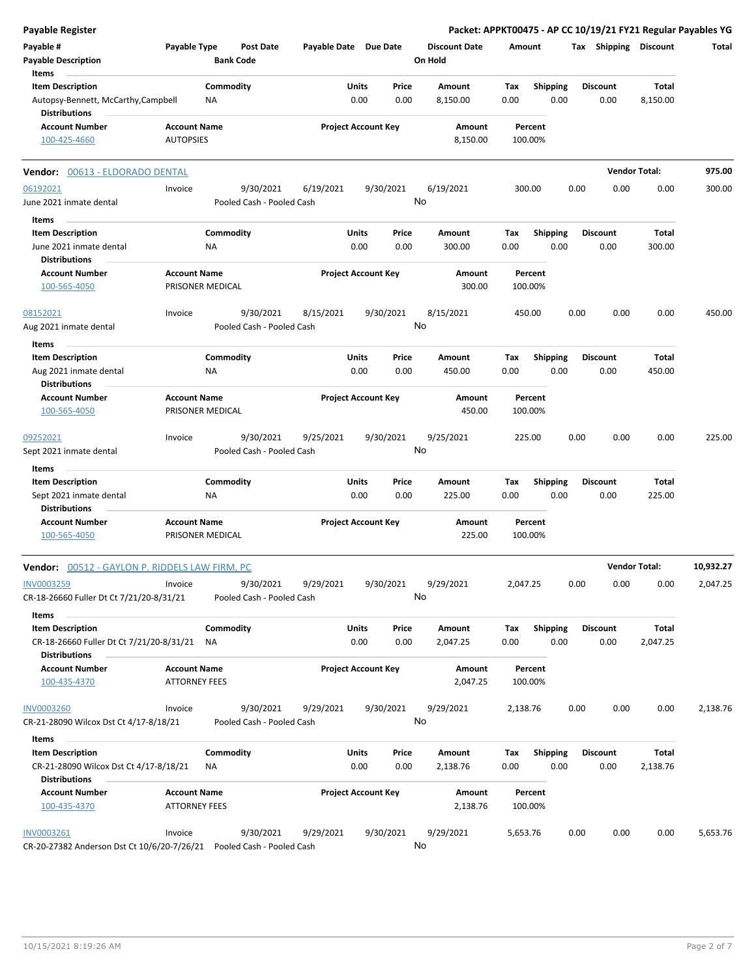| <b>Payable Register</b>                                             |                                             |                                        |                       |                                |                                 | Packet: APPKT00475 - AP CC 10/19/21 FY21 Regular Payables YG |      |                         |                      |           |
|---------------------------------------------------------------------|---------------------------------------------|----------------------------------------|-----------------------|--------------------------------|---------------------------------|--------------------------------------------------------------|------|-------------------------|----------------------|-----------|
| Payable #<br><b>Payable Description</b>                             | Payable Type                                | <b>Post Date</b><br><b>Bank Code</b>   | Payable Date Due Date |                                | <b>Discount Date</b><br>On Hold | Amount                                                       |      | Tax Shipping Discount   |                      | Total     |
| Items<br><b>Item Description</b>                                    |                                             | Commodity                              |                       | Units<br>Price                 | Amount                          | <b>Shipping</b><br>Tax                                       |      | <b>Discount</b>         | Total                |           |
| Autopsy-Bennett, McCarthy,Campbell<br><b>Distributions</b>          |                                             | ΝA                                     |                       | 0.00<br>0.00                   | 8,150.00                        | 0.00<br>0.00                                                 |      | 0.00                    | 8,150.00             |           |
| <b>Account Number</b><br>100-425-4660                               | <b>Account Name</b><br><b>AUTOPSIES</b>     |                                        |                       | <b>Project Account Key</b>     | Amount<br>8,150.00              | Percent<br>100.00%                                           |      |                         |                      |           |
| Vendor: 00613 - ELDORADO DENTAL                                     |                                             |                                        |                       |                                |                                 |                                                              |      |                         | <b>Vendor Total:</b> | 975.00    |
| 06192021                                                            | Invoice                                     | 9/30/2021                              | 6/19/2021             | 9/30/2021                      | 6/19/2021                       | 300.00                                                       | 0.00 | 0.00                    | 0.00                 | 300.00    |
| June 2021 inmate dental                                             |                                             | Pooled Cash - Pooled Cash              |                       |                                | No                              |                                                              |      |                         |                      |           |
| Items                                                               |                                             |                                        |                       |                                |                                 |                                                              |      |                         |                      |           |
| <b>Item Description</b><br>June 2021 inmate dental                  |                                             | Commodity<br>NA                        |                       | Units<br>Price<br>0.00<br>0.00 | Amount<br>300.00                | Shipping<br>Tax<br>0.00<br>0.00                              |      | <b>Discount</b><br>0.00 | Total<br>300.00      |           |
| <b>Distributions</b><br><b>Account Number</b>                       | <b>Account Name</b>                         |                                        |                       | <b>Project Account Key</b>     | Amount                          | Percent                                                      |      |                         |                      |           |
| 100-565-4050                                                        |                                             | PRISONER MEDICAL                       |                       |                                | 300.00                          | 100.00%                                                      |      |                         |                      |           |
| 08152021<br>Aug 2021 inmate dental                                  | Invoice                                     | 9/30/2021<br>Pooled Cash - Pooled Cash | 8/15/2021             | 9/30/2021                      | 8/15/2021<br>No                 | 450.00                                                       | 0.00 | 0.00                    | 0.00                 | 450.00    |
| Items                                                               |                                             |                                        |                       |                                |                                 |                                                              |      |                         |                      |           |
| <b>Item Description</b>                                             |                                             | Commodity                              |                       | Units<br>Price                 | Amount                          | <b>Shipping</b><br>Тах                                       |      | <b>Discount</b>         | Total                |           |
| Aug 2021 inmate dental<br><b>Distributions</b>                      |                                             | ΝA                                     |                       | 0.00<br>0.00                   | 450.00                          | 0.00<br>0.00                                                 |      | 0.00                    | 450.00               |           |
| <b>Account Number</b><br>100-565-4050                               | <b>Account Name</b>                         | PRISONER MEDICAL                       |                       | <b>Project Account Key</b>     | Amount<br>450.00                | Percent<br>100.00%                                           |      |                         |                      |           |
| 09252021                                                            | Invoice                                     | 9/30/2021                              | 9/25/2021             | 9/30/2021                      | 9/25/2021                       | 225.00                                                       | 0.00 | 0.00                    | 0.00                 | 225.00    |
| Sept 2021 inmate dental<br>Items                                    |                                             | Pooled Cash - Pooled Cash              |                       |                                | No                              |                                                              |      |                         |                      |           |
| <b>Item Description</b>                                             |                                             | Commodity                              |                       | Units<br>Price                 | Amount                          | Tax<br><b>Shipping</b>                                       |      | <b>Discount</b>         | Total                |           |
| Sept 2021 inmate dental<br><b>Distributions</b>                     |                                             | ΝA                                     |                       | 0.00<br>0.00                   | 225.00                          | 0.00<br>0.00                                                 |      | 0.00                    | 225.00               |           |
| <b>Account Number</b>                                               | <b>Account Name</b>                         |                                        |                       | <b>Project Account Key</b>     | Amount                          | Percent                                                      |      |                         |                      |           |
| 100-565-4050                                                        |                                             | PRISONER MEDICAL                       |                       |                                | 225.00                          | 100.00%                                                      |      |                         |                      |           |
| <b>Vendor:</b> 00512 - GAYLON P. RIDDELS LAW FIRM, PC               |                                             |                                        |                       |                                |                                 |                                                              |      |                         | <b>Vendor Total:</b> | 10,932.27 |
| INV0003259<br>CR-18-26660 Fuller Dt Ct 7/21/20-8/31/21              | Invoice                                     | 9/30/2021<br>Pooled Cash - Pooled Cash | 9/29/2021             | 9/30/2021                      | 9/29/2021<br>No                 | 2,047.25                                                     | 0.00 | 0.00                    | 0.00                 | 2,047.25  |
| Items                                                               |                                             |                                        |                       |                                |                                 |                                                              |      |                         |                      |           |
| <b>Item Description</b><br>CR-18-26660 Fuller Dt Ct 7/21/20-8/31/21 |                                             | Commodity<br>ΝA                        |                       | Units<br>Price<br>0.00<br>0.00 | Amount<br>2,047.25              | Shipping<br>Tax<br>0.00<br>0.00                              |      | <b>Discount</b><br>0.00 | Total<br>2,047.25    |           |
| <b>Distributions</b><br><b>Account Number</b><br>100-435-4370       | <b>Account Name</b><br><b>ATTORNEY FEES</b> |                                        |                       | <b>Project Account Key</b>     | Amount<br>2,047.25              | Percent<br>100.00%                                           |      |                         |                      |           |
|                                                                     |                                             |                                        |                       |                                |                                 |                                                              |      |                         |                      |           |
| <b>INV0003260</b><br>CR-21-28090 Wilcox Dst Ct 4/17-8/18/21         | Invoice                                     | 9/30/2021<br>Pooled Cash - Pooled Cash | 9/29/2021             | 9/30/2021                      | 9/29/2021<br>No                 | 2,138.76                                                     | 0.00 | 0.00                    | 0.00                 | 2,138.76  |
| Items                                                               |                                             |                                        |                       |                                |                                 |                                                              |      |                         |                      |           |
| <b>Item Description</b><br>CR-21-28090 Wilcox Dst Ct 4/17-8/18/21   |                                             | Commodity<br>ΝA                        |                       | Units<br>Price<br>0.00<br>0.00 | Amount<br>2,138.76              | <b>Shipping</b><br>Тах<br>0.00<br>0.00                       |      | <b>Discount</b><br>0.00 | Total<br>2,138.76    |           |
| <b>Distributions</b>                                                |                                             |                                        |                       |                                |                                 |                                                              |      |                         |                      |           |
| <b>Account Number</b><br>100-435-4370                               | <b>Account Name</b><br><b>ATTORNEY FEES</b> |                                        |                       | <b>Project Account Key</b>     | Amount<br>2,138.76              | Percent<br>100.00%                                           |      |                         |                      |           |
| <b>INV0003261</b><br>CR-20-27382 Anderson Dst Ct 10/6/20-7/26/21    | Invoice                                     | 9/30/2021<br>Pooled Cash - Pooled Cash | 9/29/2021             | 9/30/2021                      | 9/29/2021<br>No                 | 5,653.76                                                     | 0.00 | 0.00                    | 0.00                 | 5,653.76  |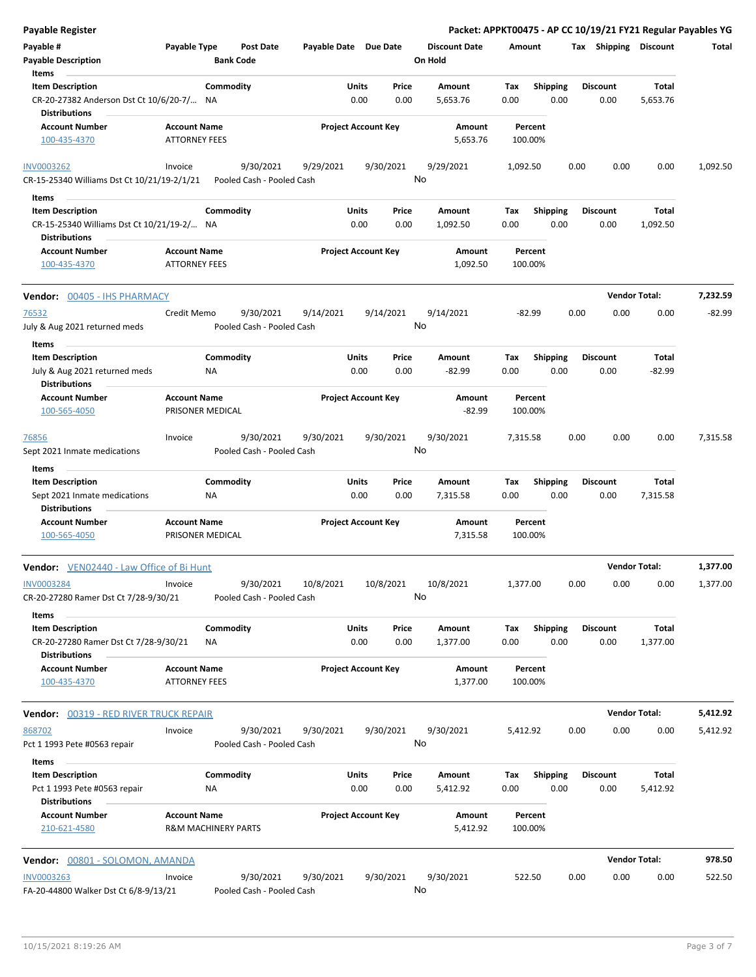| Payable Register                              |                                |                           |                       |                            |                      |          |                 | Packet: APPKT00475 - AP CC 10/19/21 FY21 Regular Payables YG |                      |          |
|-----------------------------------------------|--------------------------------|---------------------------|-----------------------|----------------------------|----------------------|----------|-----------------|--------------------------------------------------------------|----------------------|----------|
| Payable #                                     | Payable Type                   | <b>Post Date</b>          | Payable Date Due Date |                            | <b>Discount Date</b> | Amount   |                 | Tax Shipping Discount                                        |                      | Total    |
| <b>Payable Description</b>                    |                                | <b>Bank Code</b>          |                       |                            | On Hold              |          |                 |                                                              |                      |          |
| Items                                         |                                |                           |                       |                            |                      |          |                 |                                                              |                      |          |
| <b>Item Description</b>                       | Commodity                      |                           | Units                 | Price                      | Amount               | Tax      | <b>Shipping</b> | <b>Discount</b>                                              | Total                |          |
| CR-20-27382 Anderson Dst Ct 10/6/20-7/ NA     |                                |                           |                       | 0.00<br>0.00               | 5,653.76             | 0.00     | 0.00            | 0.00                                                         | 5,653.76             |          |
| <b>Distributions</b>                          |                                |                           |                       |                            |                      |          |                 |                                                              |                      |          |
| <b>Account Number</b>                         | <b>Account Name</b>            |                           |                       | <b>Project Account Key</b> | Amount               | Percent  |                 |                                                              |                      |          |
| 100-435-4370                                  | <b>ATTORNEY FEES</b>           |                           |                       |                            | 5,653.76             | 100.00%  |                 |                                                              |                      |          |
| <b>INV0003262</b>                             | Invoice                        | 9/30/2021                 | 9/29/2021             | 9/30/2021                  | 9/29/2021            | 1,092.50 |                 | 0.00<br>0.00                                                 | 0.00                 | 1,092.50 |
| CR-15-25340 Williams Dst Ct 10/21/19-2/1/21   |                                | Pooled Cash - Pooled Cash |                       |                            | No                   |          |                 |                                                              |                      |          |
| Items                                         |                                |                           |                       |                            |                      |          |                 |                                                              |                      |          |
| <b>Item Description</b>                       | Commodity                      |                           | Units                 | Price                      | Amount               | Tax      | Shipping        | <b>Discount</b>                                              | Total                |          |
| CR-15-25340 Williams Dst Ct 10/21/19-2/ NA    |                                |                           |                       | 0.00<br>0.00               | 1,092.50             | 0.00     | 0.00            | 0.00                                                         | 1,092.50             |          |
| <b>Distributions</b>                          |                                |                           |                       |                            |                      |          |                 |                                                              |                      |          |
| <b>Account Number</b>                         | <b>Account Name</b>            |                           |                       | <b>Project Account Key</b> | Amount               | Percent  |                 |                                                              |                      |          |
| 100-435-4370                                  | <b>ATTORNEY FEES</b>           |                           |                       |                            | 1,092.50             | 100.00%  |                 |                                                              |                      |          |
| Vendor: 00405 - IHS PHARMACY                  |                                |                           |                       |                            |                      |          |                 |                                                              | <b>Vendor Total:</b> | 7,232.59 |
|                                               |                                |                           |                       |                            |                      |          |                 |                                                              |                      |          |
| 76532                                         | Credit Memo                    | 9/30/2021                 | 9/14/2021             | 9/14/2021                  | 9/14/2021            | $-82.99$ |                 | 0.00<br>0.00                                                 | 0.00                 | $-82.99$ |
| July & Aug 2021 returned meds                 |                                | Pooled Cash - Pooled Cash |                       |                            | No                   |          |                 |                                                              |                      |          |
| Items                                         |                                |                           |                       |                            |                      |          |                 |                                                              |                      |          |
| <b>Item Description</b>                       | Commodity                      |                           | Units                 | Price                      | Amount               | Tax      | <b>Shipping</b> | <b>Discount</b>                                              | Total                |          |
| July & Aug 2021 returned meds                 | ΝA                             |                           |                       | 0.00<br>0.00               | $-82.99$             | 0.00     | 0.00            | 0.00                                                         | $-82.99$             |          |
| <b>Distributions</b><br><b>Account Number</b> | <b>Account Name</b>            |                           |                       | <b>Project Account Key</b> | Amount               | Percent  |                 |                                                              |                      |          |
| 100-565-4050                                  | PRISONER MEDICAL               |                           |                       |                            | $-82.99$             | 100.00%  |                 |                                                              |                      |          |
|                                               |                                |                           |                       |                            |                      |          |                 |                                                              |                      |          |
| 76856                                         | Invoice                        | 9/30/2021                 | 9/30/2021             | 9/30/2021                  | 9/30/2021            | 7,315.58 |                 | 0.00<br>0.00                                                 | 0.00                 | 7,315.58 |
| Sept 2021 Inmate medications                  |                                | Pooled Cash - Pooled Cash |                       |                            | No                   |          |                 |                                                              |                      |          |
| Items                                         |                                |                           |                       |                            |                      |          |                 |                                                              |                      |          |
| <b>Item Description</b>                       | Commodity                      |                           | Units                 | Price                      | Amount               | Tax      | <b>Shipping</b> | <b>Discount</b>                                              | Total                |          |
| Sept 2021 Inmate medications                  | ΝA                             |                           |                       | 0.00<br>0.00               | 7,315.58             | 0.00     | 0.00            | 0.00                                                         | 7,315.58             |          |
| <b>Distributions</b>                          |                                |                           |                       |                            |                      |          |                 |                                                              |                      |          |
| <b>Account Number</b>                         | <b>Account Name</b>            |                           |                       | <b>Project Account Key</b> | Amount               | Percent  |                 |                                                              |                      |          |
| 100-565-4050                                  | PRISONER MEDICAL               |                           |                       |                            | 7,315.58             | 100.00%  |                 |                                                              |                      |          |
| Vendor: VEN02440 - Law Office of Bi Hunt      |                                |                           |                       |                            |                      |          |                 |                                                              | <b>Vendor Total:</b> | 1,377.00 |
| <b>INV0003284</b>                             | Invoice                        | 9/30/2021                 | 10/8/2021             | 10/8/2021                  | 10/8/2021            | 1,377.00 |                 | 0.00<br>0.00                                                 | 0.00                 | 1,377.00 |
| CR-20-27280 Ramer Dst Ct 7/28-9/30/21         |                                | Pooled Cash - Pooled Cash |                       |                            | No                   |          |                 |                                                              |                      |          |
| Items                                         |                                |                           |                       |                            |                      |          |                 |                                                              |                      |          |
| <b>Item Description</b>                       | Commodity                      |                           | Units                 | Price                      | Amount               | Tax      | <b>Shipping</b> | <b>Discount</b>                                              | Total                |          |
| CR-20-27280 Ramer Dst Ct 7/28-9/30/21         | ΝA                             |                           |                       | 0.00<br>0.00               | 1,377.00             | 0.00     | 0.00            | 0.00                                                         | 1,377.00             |          |
| <b>Distributions</b>                          |                                |                           |                       |                            |                      |          |                 |                                                              |                      |          |
| <b>Account Number</b>                         | <b>Account Name</b>            |                           |                       | <b>Project Account Key</b> | Amount               | Percent  |                 |                                                              |                      |          |
| 100-435-4370                                  | <b>ATTORNEY FEES</b>           |                           |                       |                            | 1,377.00             | 100.00%  |                 |                                                              |                      |          |
|                                               |                                |                           |                       |                            |                      |          |                 |                                                              | <b>Vendor Total:</b> |          |
| <b>Vendor: 00319 - RED RIVER TRUCK REPAIR</b> |                                |                           |                       |                            |                      |          |                 |                                                              |                      | 5,412.92 |
| 868702                                        | Invoice                        | 9/30/2021                 | 9/30/2021             | 9/30/2021                  | 9/30/2021            | 5,412.92 |                 | 0.00<br>0.00                                                 | 0.00                 | 5,412.92 |
| Pct 1 1993 Pete #0563 repair                  |                                | Pooled Cash - Pooled Cash |                       |                            | No                   |          |                 |                                                              |                      |          |
| Items                                         |                                |                           |                       |                            |                      |          |                 |                                                              |                      |          |
| <b>Item Description</b>                       | Commodity                      |                           | Units                 | Price                      | Amount               | Тах      | <b>Shipping</b> | <b>Discount</b>                                              | Total                |          |
| Pct 1 1993 Pete #0563 repair                  | ΝA                             |                           |                       | 0.00<br>0.00               | 5,412.92             | 0.00     | 0.00            | 0.00                                                         | 5,412.92             |          |
| <b>Distributions</b><br><b>Account Number</b> | <b>Account Name</b>            |                           |                       | <b>Project Account Key</b> | Amount               | Percent  |                 |                                                              |                      |          |
| 210-621-4580                                  | <b>R&amp;M MACHINERY PARTS</b> |                           |                       |                            | 5,412.92             | 100.00%  |                 |                                                              |                      |          |
|                                               |                                |                           |                       |                            |                      |          |                 |                                                              |                      |          |
| <b>Vendor:</b> 00801 - SOLOMON, AMANDA        |                                |                           |                       |                            |                      |          |                 |                                                              | <b>Vendor Total:</b> | 978.50   |
| <b>INV0003263</b>                             | Invoice                        | 9/30/2021                 | 9/30/2021             | 9/30/2021                  | 9/30/2021            | 522.50   |                 | 0.00<br>0.00                                                 | 0.00                 | 522.50   |
| FA-20-44800 Walker Dst Ct 6/8-9/13/21         |                                | Pooled Cash - Pooled Cash |                       |                            | No                   |          |                 |                                                              |                      |          |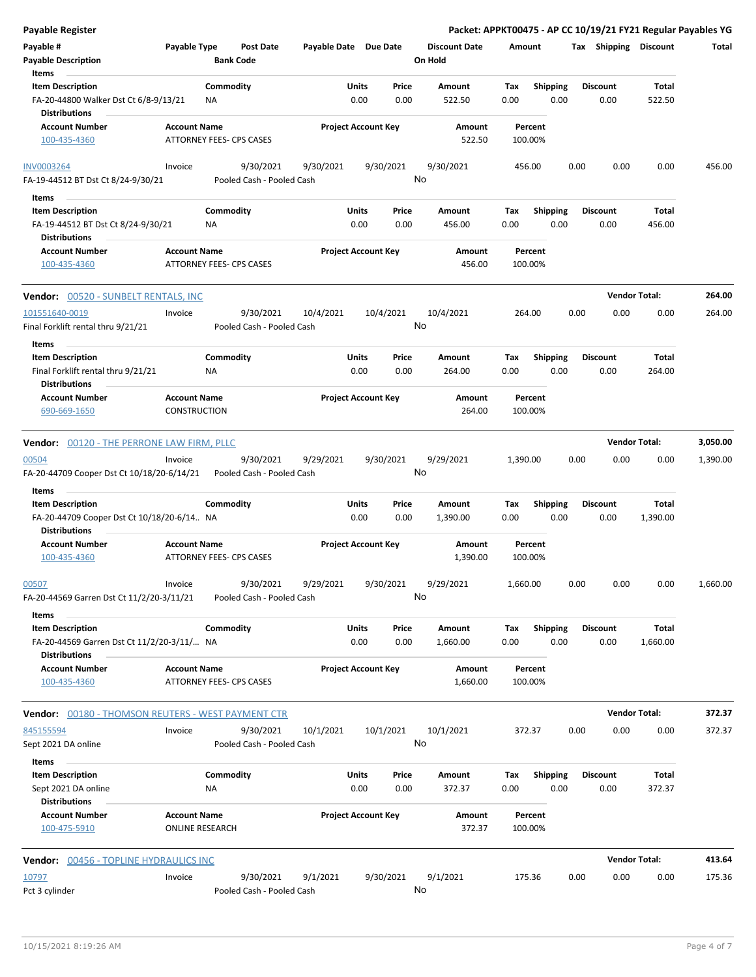| Payable Register                                                                             |                                               |                                        |                                        |               |                            |                                 |             |                         |      | Packet: APPKT00475 - AP CC 10/19/21 FY21 Regular Payables YG |                        |                  |
|----------------------------------------------------------------------------------------------|-----------------------------------------------|----------------------------------------|----------------------------------------|---------------|----------------------------|---------------------------------|-------------|-------------------------|------|--------------------------------------------------------------|------------------------|------------------|
| Payable #<br><b>Payable Description</b>                                                      | Payable Type                                  | <b>Post Date</b><br><b>Bank Code</b>   |                                        |               | Payable Date Due Date      | <b>Discount Date</b><br>On Hold | Amount      |                         |      | Tax Shipping Discount                                        |                        | Total            |
| Items<br><b>Item Description</b><br>FA-20-44800 Walker Dst Ct 6/8-9/13/21                    |                                               | Commodity<br>ΝA                        |                                        | Units<br>0.00 | Price<br>0.00              | Amount<br>522.50                | Tax<br>0.00 | <b>Shipping</b><br>0.00 |      | <b>Discount</b><br>0.00                                      | Total<br>522.50        |                  |
| <b>Distributions</b><br><b>Account Number</b><br>100-435-4360                                | <b>Account Name</b>                           | ATTORNEY FEES- CPS CASES               |                                        |               | <b>Project Account Key</b> | Amount<br>522.50                |             | Percent<br>100.00%      |      |                                                              |                        |                  |
| <b>INV0003264</b><br>FA-19-44512 BT Dst Ct 8/24-9/30/21                                      | Invoice                                       | 9/30/2021                              | 9/30/2021<br>Pooled Cash - Pooled Cash |               | 9/30/2021<br>No            | 9/30/2021                       |             | 456.00                  | 0.00 | 0.00                                                         | 0.00                   | 456.00           |
| Items                                                                                        |                                               |                                        |                                        |               |                            |                                 |             |                         |      |                                                              |                        |                  |
| <b>Item Description</b><br>FA-19-44512 BT Dst Ct 8/24-9/30/21                                |                                               | Commodity<br>ΝA                        |                                        | Units<br>0.00 | Price<br>0.00              | Amount<br>456.00                | Tax<br>0.00 | <b>Shipping</b><br>0.00 |      | <b>Discount</b><br>0.00                                      | <b>Total</b><br>456.00 |                  |
| <b>Distributions</b><br><b>Account Number</b><br>100-435-4360                                | <b>Account Name</b>                           | ATTORNEY FEES- CPS CASES               |                                        |               | <b>Project Account Key</b> | Amount<br>456.00                |             | Percent<br>100.00%      |      |                                                              |                        |                  |
|                                                                                              |                                               |                                        |                                        |               |                            |                                 |             |                         |      |                                                              |                        |                  |
| Vendor: 00520 - SUNBELT RENTALS, INC<br>101551640-0019<br>Final Forklift rental thru 9/21/21 | Invoice                                       | 9/30/2021                              | 10/4/2021<br>Pooled Cash - Pooled Cash |               | 10/4/2021<br>No            | 10/4/2021                       |             | 264.00                  | 0.00 | <b>Vendor Total:</b><br>0.00                                 | 0.00                   | 264.00<br>264.00 |
| Items                                                                                        |                                               |                                        |                                        |               |                            |                                 |             |                         |      |                                                              |                        |                  |
| <b>Item Description</b><br>Final Forklift rental thru 9/21/21<br><b>Distributions</b>        |                                               | Commodity<br>ΝA                        |                                        | Units<br>0.00 | Price<br>0.00              | Amount<br>264.00                | Tax<br>0.00 | Shipping<br>0.00        |      | <b>Discount</b><br>0.00                                      | Total<br>264.00        |                  |
| <b>Account Number</b><br>690-669-1650                                                        | <b>Account Name</b><br><b>CONSTRUCTION</b>    |                                        |                                        |               | <b>Project Account Key</b> | Amount<br>264.00                |             | Percent<br>100.00%      |      |                                                              |                        |                  |
| Vendor: 00120 - THE PERRONE LAW FIRM, PLLC                                                   |                                               |                                        |                                        |               |                            |                                 |             |                         |      | <b>Vendor Total:</b>                                         |                        | 3,050.00         |
| 00504<br>FA-20-44709 Cooper Dst Ct 10/18/20-6/14/21                                          | Invoice                                       | 9/30/2021<br>Pooled Cash - Pooled Cash | 9/29/2021                              |               | 9/30/2021<br>No            | 9/29/2021                       | 1,390.00    |                         | 0.00 | 0.00                                                         | 0.00                   | 1,390.00         |
| Items<br><b>Item Description</b><br>FA-20-44709 Cooper Dst Ct 10/18/20-6/14 NA               |                                               | Commodity                              |                                        | Units<br>0.00 | Price<br>0.00              | Amount<br>1,390.00              | Tax<br>0.00 | <b>Shipping</b><br>0.00 |      | <b>Discount</b><br>0.00                                      | Total<br>1,390.00      |                  |
| <b>Distributions</b><br><b>Account Number</b><br>100-435-4360                                | <b>Account Name</b>                           | ATTORNEY FEES- CPS CASES               |                                        |               | <b>Project Account Key</b> | Amount<br>1,390.00              |             | Percent<br>100.00%      |      |                                                              |                        |                  |
| 00507<br>FA-20-44569 Garren Dst Ct 11/2/20-3/11/21                                           | Invoice                                       | 9/30/2021                              | 9/29/2021<br>Pooled Cash - Pooled Cash |               | 9/30/2021<br>No            | 9/29/2021                       | 1,660.00    |                         | 0.00 | 0.00                                                         | 0.00                   | 1,660.00         |
| Items                                                                                        |                                               |                                        |                                        |               |                            |                                 |             |                         |      |                                                              |                        |                  |
| <b>Item Description</b><br>FA-20-44569 Garren Dst Ct 11/2/20-3/11/ NA                        |                                               | Commodity                              |                                        | Units<br>0.00 | Price<br>0.00              | Amount<br>1,660.00              | Tax<br>0.00 | Shipping<br>0.00        |      | <b>Discount</b><br>0.00                                      | Total<br>1,660.00      |                  |
| <b>Distributions</b><br><b>Account Number</b><br>100-435-4360                                | <b>Account Name</b>                           | ATTORNEY FEES- CPS CASES               |                                        |               | <b>Project Account Key</b> | Amount<br>1,660.00              |             | Percent<br>100.00%      |      |                                                              |                        |                  |
| <b>Vendor:</b> 00180 - THOMSON REUTERS - WEST PAYMENT CTR                                    |                                               |                                        |                                        |               |                            |                                 |             |                         |      | <b>Vendor Total:</b>                                         |                        | 372.37           |
| 845155594                                                                                    | Invoice                                       | 9/30/2021                              | 10/1/2021                              |               | 10/1/2021                  | 10/1/2021                       |             | 372.37                  | 0.00 | 0.00                                                         | 0.00                   | 372.37           |
| Sept 2021 DA online<br>Items                                                                 |                                               |                                        | Pooled Cash - Pooled Cash              |               | No                         |                                 |             |                         |      |                                                              |                        |                  |
| <b>Item Description</b><br>Sept 2021 DA online<br><b>Distributions</b>                       |                                               | Commodity<br>ΝA                        |                                        | Units<br>0.00 | Price<br>0.00              | Amount<br>372.37                | Tax<br>0.00 | <b>Shipping</b><br>0.00 |      | <b>Discount</b><br>0.00                                      | Total<br>372.37        |                  |
| <b>Account Number</b><br>100-475-5910                                                        | <b>Account Name</b><br><b>ONLINE RESEARCH</b> |                                        |                                        |               | <b>Project Account Key</b> | Amount<br>372.37                |             | Percent<br>100.00%      |      |                                                              |                        |                  |
| <b>Vendor: 00456 - TOPLINE HYDRAULICS INC</b>                                                |                                               |                                        |                                        |               |                            |                                 |             |                         |      | <b>Vendor Total:</b>                                         |                        | 413.64           |
| 10797<br>Pct 3 cylinder                                                                      | Invoice                                       | 9/30/2021                              | 9/1/2021<br>Pooled Cash - Pooled Cash  |               | 9/30/2021<br>No            | 9/1/2021                        |             | 175.36                  | 0.00 | 0.00                                                         | 0.00                   | 175.36           |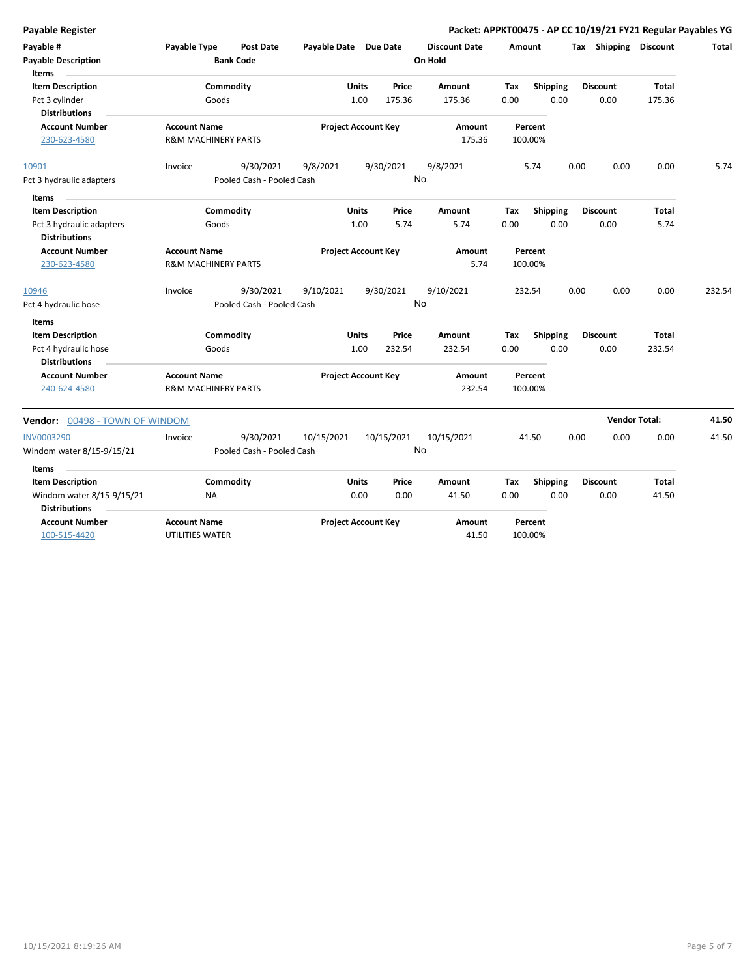| <b>Payable Register</b>                                                                      |                                                       |                                        |                            |                            |                 |                                 |                    |                         | Packet: APPKT00475 - AP CC 10/19/21 FY21 Regular Payables YG |                        |        |
|----------------------------------------------------------------------------------------------|-------------------------------------------------------|----------------------------------------|----------------------------|----------------------------|-----------------|---------------------------------|--------------------|-------------------------|--------------------------------------------------------------|------------------------|--------|
| Payable #<br><b>Payable Description</b>                                                      | Payable Type                                          | <b>Post Date</b><br><b>Bank Code</b>   | Payable Date Due Date      |                            |                 | <b>Discount Date</b><br>On Hold | Amount             |                         | Tax Shipping Discount                                        |                        | Total  |
| Items<br><b>Item Description</b><br>Pct 3 cylinder<br><b>Distributions</b>                   | Goods                                                 | Commodity                              |                            | Units<br>1.00              | Price<br>175.36 | Amount<br>175.36                | Tax<br>0.00        | <b>Shipping</b><br>0.00 | <b>Discount</b><br>0.00                                      | <b>Total</b><br>175.36 |        |
| <b>Account Number</b><br>230-623-4580                                                        | <b>Account Name</b><br><b>R&amp;M MACHINERY PARTS</b> |                                        |                            | <b>Project Account Key</b> |                 | Amount<br>175.36                |                    | Percent<br>100.00%      |                                                              |                        |        |
| 10901<br>Pct 3 hydraulic adapters                                                            | Invoice                                               | 9/30/2021<br>Pooled Cash - Pooled Cash | 9/8/2021                   |                            | 9/30/2021       | 9/8/2021<br><b>No</b>           |                    | 5.74                    | 0.00<br>0.00                                                 | 0.00                   | 5.74   |
| <b>Items</b><br><b>Item Description</b><br>Pct 3 hydraulic adapters<br><b>Distributions</b>  | Goods                                                 | Commodity                              |                            | Units<br>1.00              | Price<br>5.74   | Amount<br>5.74                  | Tax<br>0.00        | Shipping<br>0.00        | <b>Discount</b><br>0.00                                      | Total<br>5.74          |        |
| <b>Account Number</b><br>230-623-4580                                                        | <b>Account Name</b><br><b>R&amp;M MACHINERY PARTS</b> |                                        | <b>Project Account Key</b> |                            | Amount<br>5.74  |                                 | Percent<br>100.00% |                         |                                                              |                        |        |
| 10946<br>Pct 4 hydraulic hose                                                                | Invoice                                               | 9/30/2021<br>Pooled Cash - Pooled Cash | 9/10/2021                  |                            | 9/30/2021<br>No | 9/10/2021                       |                    | 232.54                  | 0.00<br>0.00                                                 | 0.00                   | 232.54 |
| Items<br><b>Item Description</b><br>Pct 4 hydraulic hose<br><b>Distributions</b>             | Goods                                                 | Commodity                              |                            | <b>Units</b><br>1.00       | Price<br>232.54 | <b>Amount</b><br>232.54         | Tax<br>0.00        | <b>Shipping</b><br>0.00 | <b>Discount</b><br>0.00                                      | Total<br>232.54        |        |
| <b>Account Number</b><br>240-624-4580                                                        | <b>Account Name</b><br><b>R&amp;M MACHINERY PARTS</b> |                                        |                            | <b>Project Account Key</b> |                 | <b>Amount</b><br>232.54         |                    | Percent<br>100.00%      |                                                              |                        |        |
| <b>Vendor: 00498 - TOWN OF WINDOM</b>                                                        |                                                       |                                        |                            |                            |                 |                                 |                    |                         |                                                              | <b>Vendor Total:</b>   | 41.50  |
| <b>INV0003290</b><br>Windom water 8/15-9/15/21                                               | Invoice                                               | 9/30/2021<br>Pooled Cash - Pooled Cash | 10/15/2021                 |                            | 10/15/2021      | 10/15/2021<br>No                |                    | 41.50                   | 0.00<br>0.00                                                 | 0.00                   | 41.50  |
| <b>Items</b><br><b>Item Description</b><br>Windom water 8/15-9/15/21<br><b>Distributions</b> | <b>NA</b>                                             | Commodity                              |                            | Units<br>0.00              | Price<br>0.00   | Amount<br>41.50                 | Tax<br>0.00        | <b>Shipping</b><br>0.00 | <b>Discount</b><br>0.00                                      | Total<br>41.50         |        |
| <b>Account Number</b><br>100-515-4420                                                        | <b>Account Name</b><br>UTILITIES WATER                |                                        |                            | <b>Project Account Key</b> |                 | Amount<br>41.50                 |                    | Percent<br>100.00%      |                                                              |                        |        |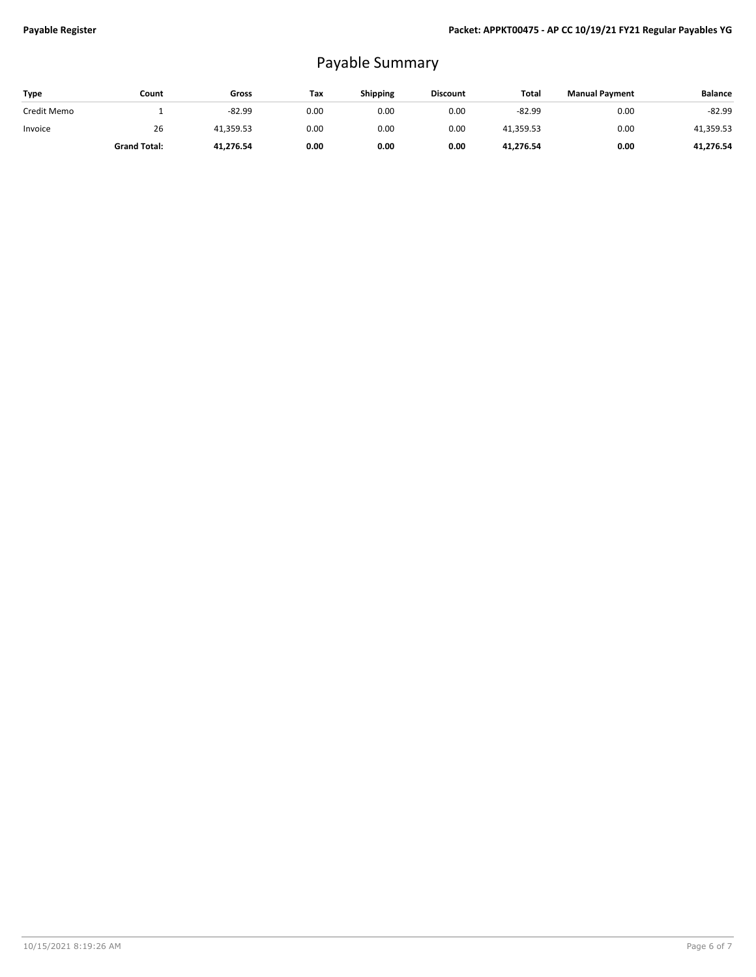## Payable Summary

| Type        | Count               | Gross     | Tax  | <b>Shipping</b> | <b>Discount</b> | Total     | <b>Manual Payment</b> | <b>Balance</b> |
|-------------|---------------------|-----------|------|-----------------|-----------------|-----------|-----------------------|----------------|
| Credit Memo |                     | $-82.99$  | 0.00 | 0.00            | 0.00            | $-82.99$  | 0.00                  | $-82.99$       |
| Invoice     | 26                  | 41.359.53 | 0.00 | 0.00            | 0.00            | 41.359.53 | 0.00                  | 41,359.53      |
|             | <b>Grand Total:</b> | 41.276.54 | 0.00 | 0.00            | 0.00            | 41,276.54 | 0.00                  | 41,276.54      |